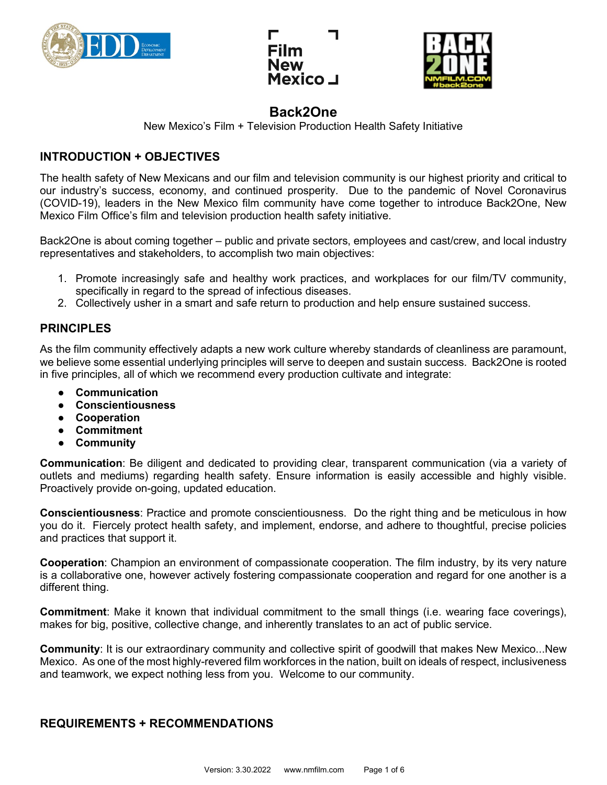





New Mexico's Film + Television Production Health Safety Initiative

## **INTRODUCTION + OBJECTIVES**

The health safety of New Mexicans and our film and television community is our highest priority and critical to our industry's success, economy, and continued prosperity. Due to the pandemic of Novel Coronavirus (COVID-19), leaders in the New Mexico film community have come together to introduce Back2One, New Mexico Film Office's film and television production health safety initiative.

Back2One is about coming together – public and private sectors, employees and cast/crew, and local industry representatives and stakeholders, to accomplish two main objectives:

- 1. Promote increasingly safe and healthy work practices, and workplaces for our film/TV community, specifically in regard to the spread of infectious diseases.
- 2. Collectively usher in a smart and safe return to production and help ensure sustained success.

## **PRINCIPLES**

As the film community effectively adapts a new work culture whereby standards of cleanliness are paramount, we believe some essential underlying principles will serve to deepen and sustain success. Back2One is rooted in five principles, all of which we recommend every production cultivate and integrate:

- **Communication**
- **Conscientiousness**
- **Cooperation**
- **Commitment**
- **Community**

**Communication**: Be diligent and dedicated to providing clear, transparent communication (via a variety of outlets and mediums) regarding health safety. Ensure information is easily accessible and highly visible. Proactively provide on-going, updated education.

**Conscientiousness**: Practice and promote conscientiousness. Do the right thing and be meticulous in how you do it. Fiercely protect health safety, and implement, endorse, and adhere to thoughtful, precise policies and practices that support it.

**Cooperation**: Champion an environment of compassionate cooperation. The film industry, by its very nature is a collaborative one, however actively fostering compassionate cooperation and regard for one another is a different thing.

**Commitment**: Make it known that individual commitment to the small things (i.e. wearing face coverings), makes for big, positive, collective change, and inherently translates to an act of public service.

**Community**: It is our extraordinary community and collective spirit of goodwill that makes New Mexico...New Mexico. As one of the most highly-revered film workforces in the nation, built on ideals of respect, inclusiveness and teamwork, we expect nothing less from you. Welcome to our community.

## **REQUIREMENTS + RECOMMENDATIONS**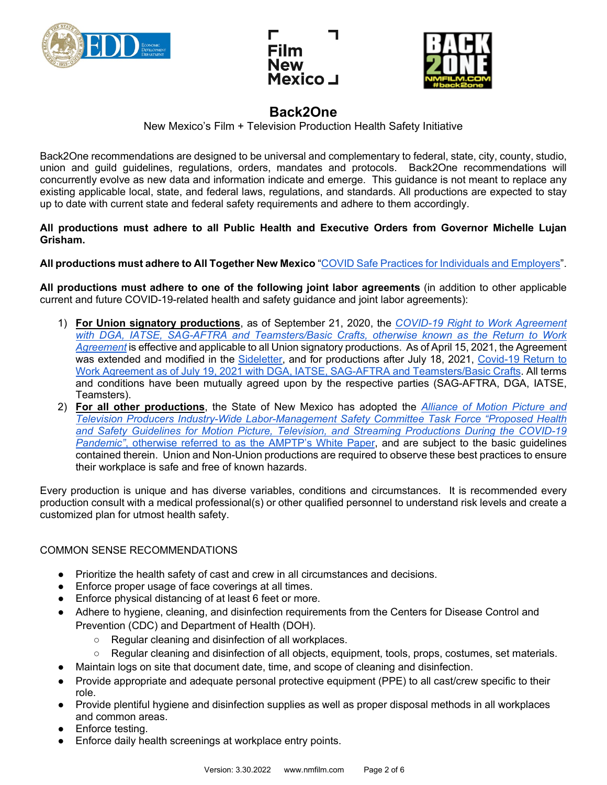





New Mexico's Film + Television Production Health Safety Initiative

Back2One recommendations are designed to be universal and complementary to federal, state, city, county, studio, union and guild guidelines, regulations, orders, mandates and protocols. Back2One recommendations will concurrently evolve as new data and information indicate and emerge. This guidance is not meant to replace any existing applicable local, state, and federal laws, regulations, and standards. All productions are expected to stay up to date with current state and federal safety requirements and adhere to them accordingly.

**All productions must adhere to all Public Health and Executive Orders from Governor Michelle Lujan Grisham.** 

**All productions must adhere to All Together New Mexico** ["COVID Safe Practices for Individuals and Employers"](https://cv.nmhealth.org/covid-safe-practices/).

**All productions must adhere to one of the following joint labor agreements** (in addition to other applicable current and future COVID-19-related health and safety guidance and joint labor agreements):

- 1) **For Union signatory productions**, as of September 21, 2020, the *[COVID-19 Right to Work Agreement](https://nmfilm.com/wp-content/uploads/2020/10/Return-to-Work-Agreement-9-21-20.pdf)  [with DGA, IATSE, SAG-AFTRA and Teamsters/Basic Crafts,](https://nmfilm.com/wp-content/uploads/2020/10/Return-to-Work-Agreement-9-21-20.pdf) otherwise known as the Return to Work [Agreement](https://nmfilm.com/wp-content/uploads/2020/10/Return-to-Work-Agreement-9-21-20.pdf)* is effective and applicable to all Union signatory productions. As of April 15, 2021, the Agreement was extended and modified in the [Sideletter,](https://www.dga.org/-/media/Files/TheGuild/Coronavirus-Resources/SL_re_Extension_COVID_SickLeave_4-15-21.ashx?la=en&hash=429908C2E2A75B3420BEEE77A4ACF25C18A873D4) and for productions after July 18, 2021, Covid-19 Return to [Work Agreement as of July 19, 2021 with DGA, IATSE, SAG-AFTRA and Teamsters/Basic Crafts.](https://nmfilm.com/wp-content/uploads/2021/08/7-19-21-RTW-Agreement-Fully-Executed-00249626xBE9D7.pdf) All terms and conditions have been mutually agreed upon by the respective parties (SAG-AFTRA, DGA, IATSE, Teamsters).
- 2) **For all other productions**, the State of New Mexico has adopted the *[Alliance of Motion Picture and](https://nmfilm.com/wp-content/uploads/2020/07/IWLMSC-Task-Force-White-Paper-6-1-20.pdf)  [Television Producers Industry-Wide Labor-Management Safety Committee Task Force "Proposed Health](https://nmfilm.com/wp-content/uploads/2020/07/IWLMSC-Task-Force-White-Paper-6-1-20.pdf)  [and Safety Guidelines for Motion Picture, Television, and Streaming Productions During the COVID-19](https://nmfilm.com/wp-content/uploads/2020/07/IWLMSC-Task-Force-White-Paper-6-1-20.pdf)  [Pandemic"](https://nmfilm.com/wp-content/uploads/2020/07/IWLMSC-Task-Force-White-Paper-6-1-20.pdf)*[, otherwise referred to as the AMPTP's White Paper,](https://nmfilm.com/wp-content/uploads/2020/07/IWLMSC-Task-Force-White-Paper-6-1-20.pdf) and are subject to the basic guidelines contained therein. Union and Non-Union productions are required to observe these best practices to ensure their workplace is safe and free of known hazards.

Every production is unique and has diverse variables, conditions and circumstances. It is recommended every production consult with a medical professional(s) or other qualified personnel to understand risk levels and create a customized plan for utmost health safety.

#### COMMON SENSE RECOMMENDATIONS

- Prioritize the health safety of cast and crew in all circumstances and decisions.
- Enforce proper usage of face coverings at all times.
- Enforce physical distancing of at least 6 feet or more.
- Adhere to hygiene, cleaning, and disinfection requirements from the Centers for Disease Control and Prevention (CDC) and Department of Health (DOH).
	- Regular cleaning and disinfection of all workplaces.
	- Regular cleaning and disinfection of all objects, equipment, tools, props, costumes, set materials.
- Maintain logs on site that document date, time, and scope of cleaning and disinfection.
- Provide appropriate and adequate personal protective equipment (PPE) to all cast/crew specific to their role.
- Provide plentiful hygiene and disinfection supplies as well as proper disposal methods in all workplaces and common areas.
- Enforce testing.
- Enforce daily health screenings at workplace entry points.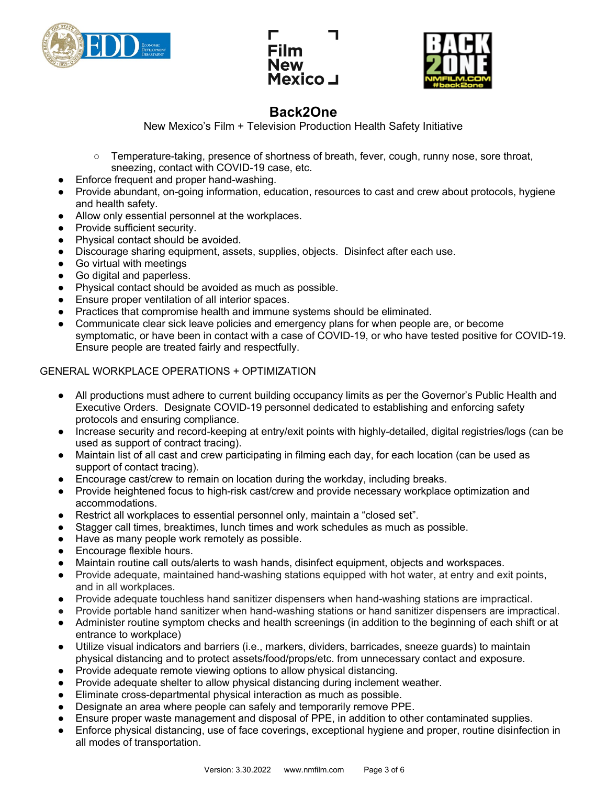





New Mexico's Film + Television Production Health Safety Initiative

- Temperature-taking, presence of shortness of breath, fever, cough, runny nose, sore throat, sneezing, contact with COVID-19 case, etc.
- Enforce frequent and proper hand-washing.
- Provide abundant, on-going information, education, resources to cast and crew about protocols, hygiene and health safety.
- Allow only essential personnel at the workplaces.
- Provide sufficient security.
- Physical contact should be avoided.
- Discourage sharing equipment, assets, supplies, objects. Disinfect after each use.
- Go virtual with meetings
- Go digital and paperless.
- Physical contact should be avoided as much as possible.
- Ensure proper ventilation of all interior spaces.
- Practices that compromise health and immune systems should be eliminated.
- Communicate clear sick leave policies and emergency plans for when people are, or become symptomatic, or have been in contact with a case of COVID-19, or who have tested positive for COVID-19. Ensure people are treated fairly and respectfully.

#### GENERAL WORKPLACE OPERATIONS + OPTIMIZATION

- All productions must adhere to current building occupancy limits as per the Governor's Public Health and Executive Orders. Designate COVID-19 personnel dedicated to establishing and enforcing safety protocols and ensuring compliance.
- Increase security and record-keeping at entry/exit points with highly-detailed, digital registries/logs (can be used as support of contract tracing).
- Maintain list of all cast and crew participating in filming each day, for each location (can be used as support of contact tracing).
- Encourage cast/crew to remain on location during the workday, including breaks.
- Provide heightened focus to high-risk cast/crew and provide necessary workplace optimization and accommodations.
- Restrict all workplaces to essential personnel only, maintain a "closed set".
- Stagger call times, breaktimes, lunch times and work schedules as much as possible.
- Have as many people work remotely as possible.
- Encourage flexible hours.
- Maintain routine call outs/alerts to wash hands, disinfect equipment, objects and workspaces.
- Provide adequate, maintained hand-washing stations equipped with hot water, at entry and exit points, and in all workplaces.
- Provide adequate touchless hand sanitizer dispensers when hand-washing stations are impractical.
- Provide portable hand sanitizer when hand-washing stations or hand sanitizer dispensers are impractical.
- Administer routine symptom checks and health screenings (in addition to the beginning of each shift or at entrance to workplace)
- Utilize visual indicators and barriers (i.e., markers, dividers, barricades, sneeze guards) to maintain physical distancing and to protect assets/food/props/etc. from unnecessary contact and exposure.
- Provide adequate remote viewing options to allow physical distancing.
- Provide adequate shelter to allow physical distancing during inclement weather.
- Eliminate cross-departmental physical interaction as much as possible.
- Designate an area where people can safely and temporarily remove PPE.
- Ensure proper waste management and disposal of PPE, in addition to other contaminated supplies.
- Enforce physical distancing, use of face coverings, exceptional hygiene and proper, routine disinfection in all modes of transportation.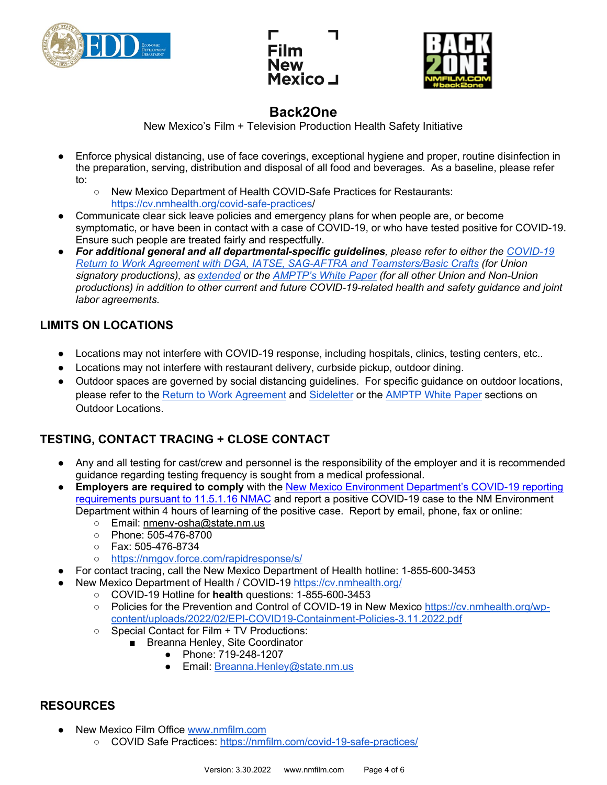





New Mexico's Film + Television Production Health Safety Initiative

- Enforce physical distancing, use of face coverings, exceptional hygiene and proper, routine disinfection in the preparation, serving, distribution and disposal of all food and beverages. As a baseline, please refer to:
	- New Mexico Department of Health COVID-Safe Practices for Restaurants: [https://cv.nmhealth.org/covid-safe-practices/](https://cv.nmhealth.org/covid-safe-practices)
- Communicate clear sick leave policies and emergency plans for when people are, or become symptomatic, or have been in contact with a case of COVID-19, or who have tested positive for COVID-19. Ensure such people are treated fairly and respectfully.
- *For additional general and all departmental-specific guidelines, please refer to either the [COVID-19](https://nmfilm.com/wp-content/uploads/2020/10/Return-to-Work-Agreement-9-21-20.pdf)  [Return to Work Agreement with DGA, IATSE, SAG-AFTRA and Teamsters/Basic Crafts](https://nmfilm.com/wp-content/uploads/2020/10/Return-to-Work-Agreement-9-21-20.pdf) (for Union signatory productions), as [extended](https://www.dga.org/-/media/Files/TheGuild/Coronavirus-Resources/SL_re_Extension_COVID_SickLeave_4-15-21.ashx?la=en&hash=429908C2E2A75B3420BEEE77A4ACF25C18A873D4) or the [AMPTP's White Paper](https://nmfilm.com/wp-content/uploads/2020/07/IWLMSC-Task-Force-White-Paper-6-1-20.pdf) (for all other Union and Non-Union productions) in addition to other current and future COVID-19-related health and safety guidance and joint labor agreements.*

## **LIMITS ON LOCATIONS**

- Locations may not interfere with COVID-19 response, including hospitals, clinics, testing centers, etc..
- Locations may not interfere with restaurant delivery, curbside pickup, outdoor dining.
- Outdoor spaces are governed by social distancing guidelines. For specific guidance on outdoor locations, please refer to the [Return to Work Agreement](https://nmfilm.com/wp-content/uploads/2020/10/Return-to-Work-Agreement-9-21-20.pdf) and [Sideletter](https://www.dga.org/-/media/Files/TheGuild/Coronavirus-Resources/SL_re_Extension_COVID_SickLeave_4-15-21.ashx?la=en&hash=429908C2E2A75B3420BEEE77A4ACF25C18A873D4) or the [AMPTP White Paper](https://nmfilm.com/wp-content/uploads/2020/07/IWLMSC-Task-Force-White-Paper-6-1-20.pdf) sections on Outdoor Locations.

## **TESTING, CONTACT TRACING + CLOSE CONTACT**

- Any and all testing for cast/crew and personnel is the responsibility of the employer and it is recommended guidance regarding testing frequency is sought from a medical professional.
- **Employers are required to comply** with the [New Mexico Environment Department's COVID-19 reporting](https://www.env.nm.gov/wp-content/uploads/2020/12/2020-12-07-OHSB-Emergency-rule-faqs-updated.pdf)  [requirements pursuant to 11.5.1.16 NMAC](https://www.env.nm.gov/wp-content/uploads/2020/12/2020-12-07-OHSB-Emergency-rule-faqs-updated.pdf) and report a positive COVID-19 case to the NM Environment Department within 4 hours of learning of the positive case. Report by email, phone, fax or online:
	- Email: [nmenv-osha@state.nm.us](mailto:nmenv-osha@state.nm.us)
	- Phone: 505-476-8700
	- Fax: 505-476-8734
	- <https://nmgov.force.com/rapidresponse/s/>
- For contact tracing, call the New Mexico Department of Health hotline: 1-855-600-3453
	- New Mexico Department of Health / COVID-19 https://cv.nmhealth.org/
		- COVID-19 Hotline for **health** questions: 1-855-600-3453
		- Policies for the Prevention and Control of COVID-19 in New Mexico [https://cv.nmhealth.org/wp](https://cv.nmhealth.org/wp-content/uploads/2022/03/EPI-COVID19-Containment-Policies-3.11.2022.pdf)[content/uploads/2022/02/EPI-COVID19-Containment-Policies-3.11.2022.pdf](https://cv.nmhealth.org/wp-content/uploads/2022/03/EPI-COVID19-Containment-Policies-3.11.2022.pdf)
		- Special Contact for Film + TV Productions:
			- Breanna Henley, Site Coordinator
				- Phone: 719-248-1207
				- Email: Breanna.Henley@state.nm.us

## **RESOURCES**

- New Mexico Film Office [www.nmfilm.com](http://www.nmfilm.com/)
	- COVID Safe Practices:<https://nmfilm.com/covid-19-safe-practices/>